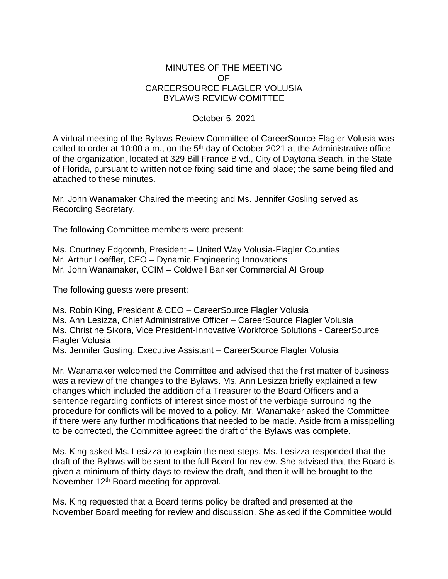## MINUTES OF THE MEETING OF CAREERSOURCE FLAGLER VOLUSIA BYLAWS REVIEW COMITTEE

## October 5, 2021

A virtual meeting of the Bylaws Review Committee of CareerSource Flagler Volusia was called to order at 10:00 a.m., on the  $5<sup>th</sup>$  day of October 2021 at the Administrative office of the organization, located at 329 Bill France Blvd., City of Daytona Beach, in the State of Florida, pursuant to written notice fixing said time and place; the same being filed and attached to these minutes.

Mr. John Wanamaker Chaired the meeting and Ms. Jennifer Gosling served as Recording Secretary.

The following Committee members were present:

Ms. Courtney Edgcomb, President – United Way Volusia-Flagler Counties Mr. Arthur Loeffler, CFO – Dynamic Engineering Innovations Mr. John Wanamaker, CCIM – Coldwell Banker Commercial AI Group

The following guests were present:

Ms. Robin King, President & CEO – CareerSource Flagler Volusia Ms. Ann Lesizza, Chief Administrative Officer – CareerSource Flagler Volusia Ms. Christine Sikora, Vice President-Innovative Workforce Solutions - CareerSource Flagler Volusia

Ms. Jennifer Gosling, Executive Assistant – CareerSource Flagler Volusia

Mr. Wanamaker welcomed the Committee and advised that the first matter of business was a review of the changes to the Bylaws. Ms. Ann Lesizza briefly explained a few changes which included the addition of a Treasurer to the Board Officers and a sentence regarding conflicts of interest since most of the verbiage surrounding the procedure for conflicts will be moved to a policy. Mr. Wanamaker asked the Committee if there were any further modifications that needed to be made. Aside from a misspelling to be corrected, the Committee agreed the draft of the Bylaws was complete.

Ms. King asked Ms. Lesizza to explain the next steps. Ms. Lesizza responded that the draft of the Bylaws will be sent to the full Board for review. She advised that the Board is given a minimum of thirty days to review the draft, and then it will be brought to the November 12<sup>th</sup> Board meeting for approval.

Ms. King requested that a Board terms policy be drafted and presented at the November Board meeting for review and discussion. She asked if the Committee would